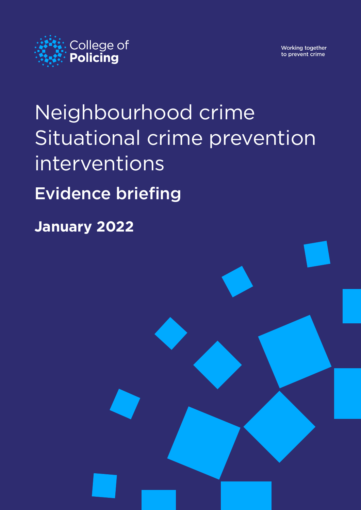

Working together to prevent crime

# Neighbourhood crime Situational crime prevention interventions Evidence briefing

college.police.uk i

**January 2022**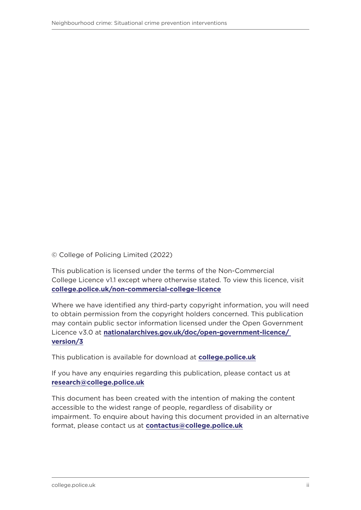© College of Policing Limited (2022)

This publication is licensed under the terms of the Non-Commercial College Licence v1.1 except where otherwise stated. To view this licence, visit **[college.police.uk/non-commercial-college-licence](https://www.college.police.uk/non-commercial-college-licence)**

Where we have identified any third-party copyright information, you will need to obtain permission from the copyright holders concerned. This publication may contain public sector information licensed under the Open Government Licence v3.0 at **[nationalarchives.gov.uk/doc/open-government-licence/](http://nationalarchives.gov.uk/doc/open-government-licence/version/3)  [version/3](http://nationalarchives.gov.uk/doc/open-government-licence/version/3)**

This publication is available for download at **[college.police.uk](https://www.college.police.uk/)**

If you have any enquiries regarding this publication, please contact us at **[research@college.police.uk](mailto:research%40college.police.uk?subject=)**

This document has been created with the intention of making the content accessible to the widest range of people, regardless of disability or impairment. To enquire about having this document provided in an alternative format, please contact us at **[contactus@college.police.uk](mailto:contactus@college.police.uk)**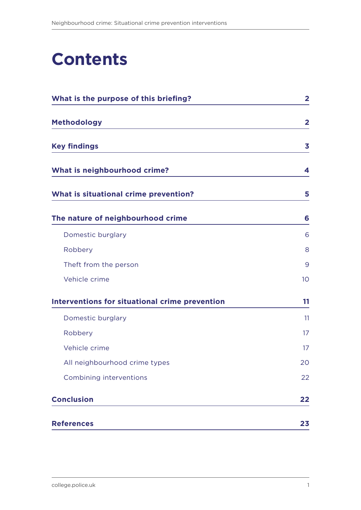# **Contents**

| What is the purpose of this briefing?                 | $\overline{\mathbf{2}}$ |
|-------------------------------------------------------|-------------------------|
| <b>Methodology</b>                                    | $\overline{2}$          |
| <b>Key findings</b>                                   | 3                       |
| What is neighbourhood crime?                          | 4                       |
| What is situational crime prevention?                 | 5                       |
| The nature of neighbourhood crime                     | 6                       |
| Domestic burglary                                     | 6                       |
| Robbery                                               | 8                       |
| Theft from the person                                 | 9                       |
| Vehicle crime                                         | 10                      |
| <b>Interventions for situational crime prevention</b> | 11                      |
| Domestic burglary                                     | 11                      |
| Robbery                                               | 17                      |
| Vehicle crime                                         | 17                      |
| All neighbourhood crime types                         | 20                      |
| Combining interventions                               | 22                      |
| <b>Conclusion</b>                                     | 22                      |
| <b>References</b>                                     | 23                      |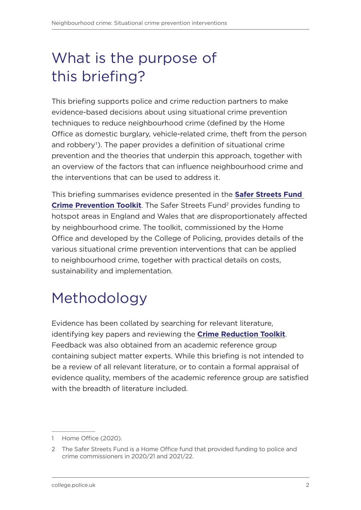# <span id="page-3-0"></span>What is the purpose of this briefing?

This briefing supports police and crime reduction partners to make evidence-based decisions about using situational crime prevention techniques to reduce neighbourhood crime (defined by the Home Office as domestic burglary, vehicle-related crime, theft from the person and robbery<sup>1</sup>). The paper provides a definition of situational crime prevention and the theories that underpin this approach, together with an overview of the factors that can influence neighbourhood crime and the interventions that can be used to address it.

This briefing summarises evidence presented in the **[Safer Streets Fund](https://whatworks.college.police.uk/Research/Documents/Safer_Streets_toolkit.pdf)  [Crime Prevention Toolkit](https://whatworks.college.police.uk/Research/Documents/Safer_Streets_toolkit.pdf)**. The Safer Streets Fund<sup>2</sup> provides funding to hotspot areas in England and Wales that are disproportionately affected by neighbourhood crime. The toolkit, commissioned by the Home Office and developed by the College of Policing, provides details of the various situational crime prevention interventions that can be applied to neighbourhood crime, together with practical details on costs, sustainability and implementation.

# Methodology

Evidence has been collated by searching for relevant literature, identifying key papers and reviewing the **[Crime Reduction Toolkit](https://whatworks.college.police.uk/toolkit/Pages/Welcome.aspx)**. Feedback was also obtained from an academic reference group containing subject matter experts. While this briefing is not intended to be a review of all relevant literature, or to contain a formal appraisal of evidence quality, members of the academic reference group are satisfied with the breadth of literature included

<sup>1</sup> Home Office (2020).

<sup>2</sup> The Safer Streets Fund is a Home Office fund that provided funding to police and crime commissioners in 2020/21 and 2021/22.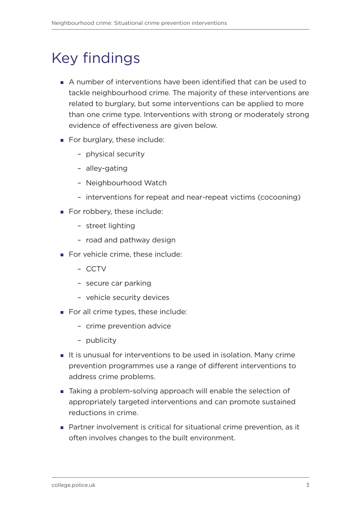# <span id="page-4-0"></span>Key findings

- A number of interventions have been identified that can be used to tackle neighbourhood crime. The majority of these interventions are related to burglary, but some interventions can be applied to more than one crime type. Interventions with strong or moderately strong evidence of effectiveness are given below.
- For burglary, these include:
	- physical security
	- alley-gating
	- Neighbourhood Watch
	- interventions for repeat and near-repeat victims (cocooning)
- For robbery, these include:
	- street lighting
	- road and pathway design
- For vehicle crime, these include:
	- CCTV
	- secure car parking
	- vehicle security devices
- For all crime types, these include:
	- crime prevention advice
	- publicity
- It is unusual for interventions to be used in isolation. Many crime prevention programmes use a range of different interventions to address crime problems.
- Taking a problem-solving approach will enable the selection of appropriately targeted interventions and can promote sustained reductions in crime.
- Partner involvement is critical for situational crime prevention, as it often involves changes to the built environment.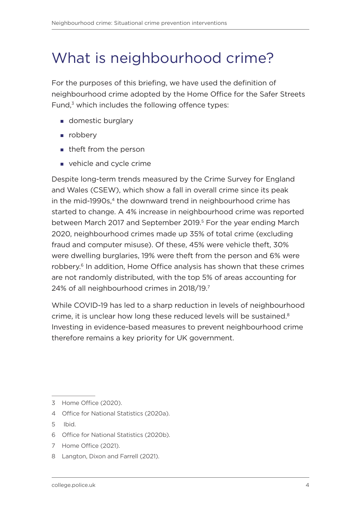### <span id="page-5-0"></span>What is neighbourhood crime?

For the purposes of this briefing, we have used the definition of neighbourhood crime adopted by the Home Office for the Safer Streets Fund,<sup>3</sup> which includes the following offence types:

- **domestic burglary**
- n robbery
- **theft from the person**
- vehicle and cycle crime

Despite long-term trends measured by the Crime Survey for England and Wales (CSEW), which show a fall in overall crime since its peak in the mid-1990s,<sup>4</sup> the downward trend in neighbourhood crime has started to change. A 4% increase in neighbourhood crime was reported between March 2017 and September 2019.<sup>5</sup> For the year ending March 2020, neighbourhood crimes made up 35% of total crime (excluding fraud and computer misuse). Of these, 45% were vehicle theft, 30% were dwelling burglaries, 19% were theft from the person and 6% were robbery.<sup>6</sup> In addition, Home Office analysis has shown that these crimes are not randomly distributed, with the top 5% of areas accounting for 24% of all neighbourhood crimes in 2018/19.7

While COVID-19 has led to a sharp reduction in levels of neighbourhood crime, it is unclear how long these reduced levels will be sustained. $8$ Investing in evidence-based measures to prevent neighbourhood crime therefore remains a key priority for UK government.

- 4 Office for National Statistics (2020a).
- 5 Ibid.
- 6 Office for National Statistics (2020b).
- 7 Home Office (2021).
- 8 Langton, Dixon and Farrell (2021).

<sup>3</sup> Home Office (2020).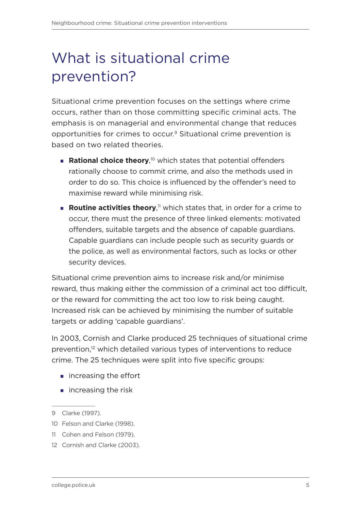# <span id="page-6-0"></span>What is situational crime prevention?

Situational crime prevention focuses on the settings where crime occurs, rather than on those committing specific criminal acts. The emphasis is on managerial and environmental change that reduces opportunities for crimes to occur.9 Situational crime prevention is based on two related theories.

- **Rational choice theory**,<sup>10</sup> which states that potential offenders rationally choose to commit crime, and also the methods used in order to do so. This choice is influenced by the offender's need to maximise reward while minimising risk.
- **Routine activities theory**,<sup>11</sup> which states that, in order for a crime to occur, there must the presence of three linked elements: motivated offenders, suitable targets and the absence of capable guardians. Capable guardians can include people such as security guards or the police, as well as environmental factors, such as locks or other security devices.

Situational crime prevention aims to increase risk and/or minimise reward, thus making either the commission of a criminal act too difficult, or the reward for committing the act too low to risk being caught. Increased risk can be achieved by minimising the number of suitable targets or adding 'capable guardians'.

In 2003, Cornish and Clarke produced 25 techniques of situational crime prevention,<sup>12</sup> which detailed various types of interventions to reduce crime. The 25 techniques were split into five specific groups:

- **n** increasing the effort
- $\blacksquare$  increasing the risk

- 11 Cohen and Felson (1979).
- 12 Cornish and Clarke (2003).

<sup>9</sup> Clarke (1997).

<sup>10</sup> Felson and Clarke (1998).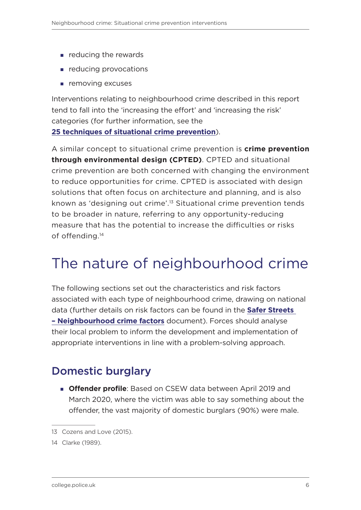- <span id="page-7-0"></span>**Part enducing the rewards**
- **reducing provocations**
- **removing excuses**

Interventions relating to neighbourhood crime described in this report tend to fall into the 'increasing the effort' and 'increasing the risk' categories (for further information, see the **[25 techniques of situational crime prevention](https://popcenter.asu.edu/sites/default/files/twenty_five_techniques_of_situational_prevention.pdf)**).

A similar concept to situational crime prevention is **crime prevention through environmental design (CPTED)**. CPTED and situational crime prevention are both concerned with changing the environment to reduce opportunities for crime. CPTED is associated with design solutions that often focus on architecture and planning, and is also known as 'designing out crime'.13 Situational crime prevention tends to be broader in nature, referring to any opportunity-reducing measure that has the potential to increase the difficulties or risks of offending.14

## The nature of neighbourhood crime

The following sections set out the characteristics and risk factors associated with each type of neighbourhood crime, drawing on national data (further details on risk factors can be found in the **[Safer Streets](https://whatworks.college.police.uk/Research/Documents/Neighbourhood_crime_factors.pdf)  [– Neighbourhood crime factors](https://whatworks.college.police.uk/Research/Documents/Neighbourhood_crime_factors.pdf)** document). Forces should analyse their local problem to inform the development and implementation of appropriate interventions in line with a problem-solving approach.

### Domestic burglary

**Offender profile**: Based on CSEW data between April 2019 and March 2020, where the victim was able to say something about the offender, the vast majority of domestic burglars (90%) were male.

<sup>13</sup> Cozens and Love (2015).

<sup>14</sup> Clarke (1989).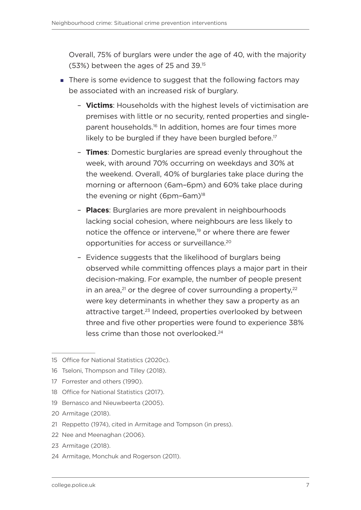Overall, 75% of burglars were under the age of 40, with the majority (53%) between the ages of 25 and 39.15

- There is some evidence to suggest that the following factors may be associated with an increased risk of burglary.
	- **Victims**: Households with the highest levels of victimisation are premises with little or no security, rented properties and singleparent households.16 In addition, homes are four times more likely to be burgled if they have been burgled before.<sup>17</sup>
	- **Times**: Domestic burglaries are spread evenly throughout the week, with around 70% occurring on weekdays and 30% at the weekend. Overall, 40% of burglaries take place during the morning or afternoon (6am–6pm) and 60% take place during the evening or night  $(6pm-6am)^{18}$
	- **Places**: Burglaries are more prevalent in neighbourhoods lacking social cohesion, where neighbours are less likely to notice the offence or intervene,<sup>19</sup> or where there are fewer opportunities for access or surveillance.20
	- Evidence suggests that the likelihood of burglars being observed while committing offences plays a major part in their decision-making. For example, the number of people present in an area, $^{21}$  or the degree of cover surrounding a property, $^{22}$ were key determinants in whether they saw a property as an attractive target.<sup>23</sup> Indeed, properties overlooked by between three and five other properties were found to experience 38% less crime than those not overlooked.24

- 18 Office for National Statistics (2017).
- 19 Bernasco and Nieuwbeerta (2005).
- 20 Armitage (2018).
- 21 Reppetto (1974), cited in Armitage and Tompson (in press).
- 22 Nee and Meenaghan (2006).
- 23 Armitage (2018).
- 24 Armitage, Monchuk and Rogerson (2011).

<sup>15</sup> Office for National Statistics (2020c).

<sup>16</sup> Tseloni, Thompson and Tilley (2018).

<sup>17</sup> Forrester and others (1990).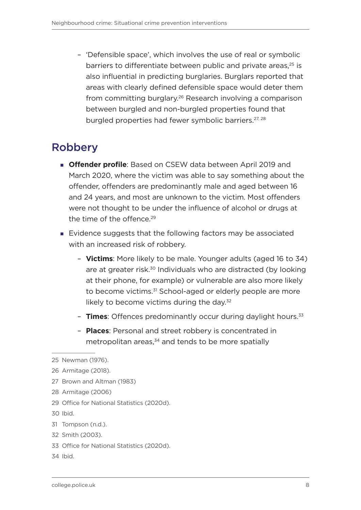<span id="page-9-0"></span>– 'Defensible space', which involves the use of real or symbolic barriers to differentiate between public and private areas.<sup>25</sup> is also influential in predicting burglaries. Burglars reported that areas with clearly defined defensible space would deter them from committing burglary.26 Research involving a comparison between burgled and non-burgled properties found that burgled properties had fewer symbolic barriers.<sup>27, 28</sup>

### Robbery

- **Offender profile**: Based on CSEW data between April 2019 and March 2020, where the victim was able to say something about the offender, offenders are predominantly male and aged between 16 and 24 years, and most are unknown to the victim. Most offenders were not thought to be under the influence of alcohol or drugs at the time of the offence.<sup>29</sup>
- Evidence suggests that the following factors may be associated with an increased risk of robbery.
	- **Victims**: More likely to be male. Younger adults (aged 16 to 34) are at greater risk.30 Individuals who are distracted (by looking at their phone, for example) or vulnerable are also more likely to become victims.<sup>31</sup> School-aged or elderly people are more likely to become victims during the day.<sup>32</sup>
	- **Times**: Offences predominantly occur during daylight hours.<sup>33</sup>
	- **Places**: Personal and street robbery is concentrated in metropolitan areas, $34$  and tends to be more spatially

- 27 Brown and Altman (1983)
- 28 Armitage (2006)
- 29 Office for National Statistics (2020d).
- 30 Ibid.
- 31 Tompson (n.d.).
- 32 Smith (2003).
- 33 Office for National Statistics (2020d).
- 34 Ibid.

<sup>25</sup> Newman (1976).

<sup>26</sup> Armitage (2018).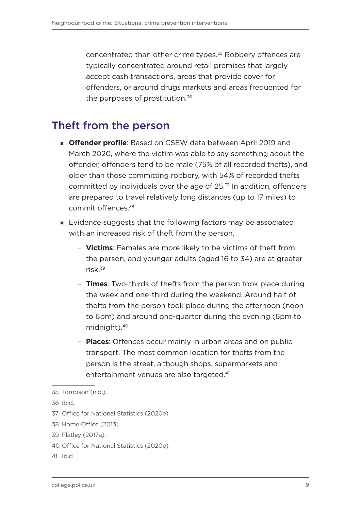<span id="page-10-0"></span>concentrated than other crime types.35 Robbery offences are typically concentrated around retail premises that largely accept cash transactions, areas that provide cover for offenders, or around drugs markets and areas frequented for the purposes of prostitution.<sup>36</sup>

### Theft from the person

- **Offender profile**: Based on CSEW data between April 2019 and March 2020, where the victim was able to say something about the offender, offenders tend to be male (75% of all recorded thefts), and older than those committing robbery, with 54% of recorded thefts committed by individuals over the age of 25.<sup>37</sup> In addition, offenders are prepared to travel relatively long distances (up to 17 miles) to commit offences.38
- Evidence suggests that the following factors may be associated with an increased risk of theft from the person.
	- **Victims**: Females are more likely to be victims of theft from the person, and younger adults (aged 16 to 34) are at greater risk.39
	- **Times**: Two-thirds of thefts from the person took place during the week and one-third during the weekend. Around half of thefts from the person took place during the afternoon (noon to 6pm) and around one-quarter during the evening (6pm to midnight).40
	- **Places**: Offences occur mainly in urban areas and on public transport. The most common location for thefts from the person is the street, although shops, supermarkets and entertainment venues are also targeted.<sup>41</sup>

37 Office for National Statistics (2020e).

- 39 Flatley (2017a).
- 40 Office for National Statistics (2020e).
- 41 Ibid.

<sup>35</sup> Tompson (n.d.).

<sup>36</sup> Ibid.

<sup>38</sup> Home Office (2013).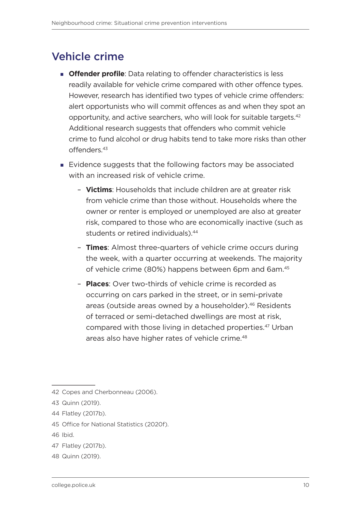### <span id="page-11-0"></span>Vehicle crime

- **Offender profile**: Data relating to offender characteristics is less readily available for vehicle crime compared with other offence types. However, research has identified two types of vehicle crime offenders: alert opportunists who will commit offences as and when they spot an opportunity, and active searchers, who will look for suitable targets.42 Additional research suggests that offenders who commit vehicle crime to fund alcohol or drug habits tend to take more risks than other offenders.43
- Evidence suggests that the following factors may be associated with an increased risk of vehicle crime.
	- **Victims**: Households that include children are at greater risk from vehicle crime than those without. Households where the owner or renter is employed or unemployed are also at greater risk, compared to those who are economically inactive (such as students or retired individuals).<sup>44</sup>
	- **Times**: Almost three-quarters of vehicle crime occurs during the week, with a quarter occurring at weekends. The majority of vehicle crime (80%) happens between 6pm and 6am.45
	- **Places**: Over two-thirds of vehicle crime is recorded as occurring on cars parked in the street, or in semi-private areas (outside areas owned by a householder).<sup>46</sup> Residents of terraced or semi-detached dwellings are most at risk, compared with those living in detached properties.47 Urban areas also have higher rates of vehicle crime.<sup>48</sup>

- 45 Office for National Statistics (2020f).
- 46 Ibid.
- 47 Flatley (2017b).
- 48 Quinn (2019).

<sup>42</sup> Copes and Cherbonneau (2006).

<sup>43</sup> Quinn (2019).

<sup>44</sup> Flatley (2017b).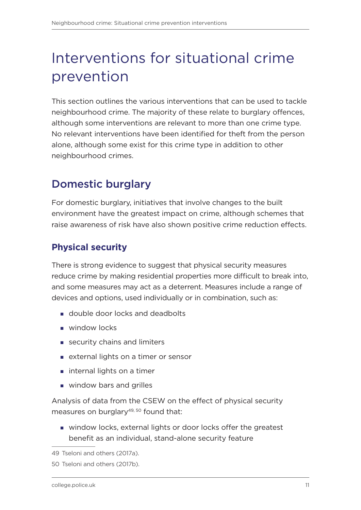# <span id="page-12-0"></span>Interventions for situational crime prevention

This section outlines the various interventions that can be used to tackle neighbourhood crime. The majority of these relate to burglary offences, although some interventions are relevant to more than one crime type. No relevant interventions have been identified for theft from the person alone, although some exist for this crime type in addition to other neighbourhood crimes.

### Domestic burglary

For domestic burglary, initiatives that involve changes to the built environment have the greatest impact on crime, although schemes that raise awareness of risk have also shown positive crime reduction effects.

#### **Physical security**

There is strong evidence to suggest that physical security measures reduce crime by making residential properties more difficult to break into, and some measures may act as a deterrent. Measures include a range of devices and options, used individually or in combination, such as:

- double door locks and deadbolts
- **window locks**
- security chains and limiters
- **EXTER 1999 20 Industrial External lights on a timer or sensor**
- **internal lights on a timer**
- **window bars and grilles**

Analysis of data from the CSEW on the effect of physical security measures on burglary $49,50$  found that:

 window locks, external lights or door locks offer the greatest benefit as an individual, stand-alone security feature

<sup>49</sup> Tseloni and others (2017a).

<sup>50</sup> Tseloni and others (2017b).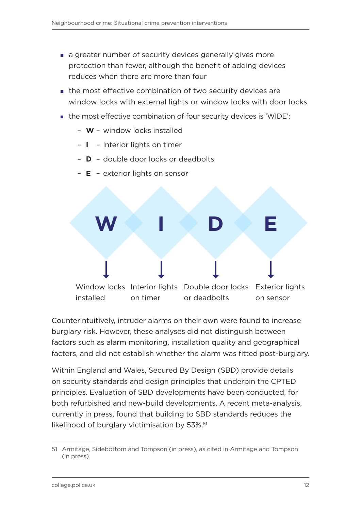- a greater number of security devices generally gives more protection than fewer, although the benefit of adding devices reduces when there are more than four
- $\blacksquare$  the most effective combination of two security devices are window locks with external lights or window locks with door locks
- the most effective combination of four security devices is 'WIDE':
	- **W** window locks installed
	- **I** interior lights on timer
	- **D** double door locks or deadbolts



– **E** – exterior lights on sensor

Counterintuitively, intruder alarms on their own were found to increase burglary risk. However, these analyses did not distinguish between factors such as alarm monitoring, installation quality and geographical factors, and did not establish whether the alarm was fitted post-burglary.

Within England and Wales, Secured By Design (SBD) provide details on security standards and design principles that underpin the CPTED principles. Evaluation of SBD developments have been conducted, for both refurbished and new-build developments. A recent meta-analysis, currently in press, found that building to SBD standards reduces the likelihood of burglary victimisation by 53%.<sup>51</sup>

<sup>51</sup> Armitage, Sidebottom and Tompson (in press), as cited in Armitage and Tompson (in press).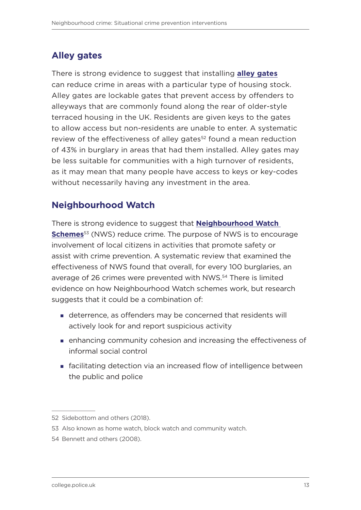#### <span id="page-14-0"></span>**Alley gates**

There is strong evidence to suggest that installing **[alley gates](https://whatworks.college.police.uk/toolkit/Pages/Intervention.aspx?InterventionID=37)** can reduce crime in areas with a particular type of housing stock. Alley gates are lockable gates that prevent access by offenders to alleyways that are commonly found along the rear of older-style terraced housing in the UK. Residents are given keys to the gates to allow access but non-residents are unable to enter. A systematic review of the effectiveness of alley gates<sup>52</sup> found a mean reduction of 43% in burglary in areas that had them installed. Alley gates may be less suitable for communities with a high turnover of residents, as it may mean that many people have access to keys or key-codes without necessarily having any investment in the area.

#### **Neighbourhood Watch**

There is strong evidence to suggest that **[Neighbourhood Watch](https://whatworks.college.police.uk/toolkit/Pages/Intervention.aspx?InterventionID=8)  [Schemes](https://whatworks.college.police.uk/toolkit/Pages/Intervention.aspx?InterventionID=8)**<sup>53</sup> (NWS) reduce crime. The purpose of NWS is to encourage involvement of local citizens in activities that promote safety or assist with crime prevention. A systematic review that examined the effectiveness of NWS found that overall, for every 100 burglaries, an average of 26 crimes were prevented with NWS.<sup>54</sup> There is limited evidence on how Neighbourhood Watch schemes work, but research suggests that it could be a combination of:

- deterrence, as offenders may be concerned that residents will actively look for and report suspicious activity
- enhancing community cohesion and increasing the effectiveness of informal social control
- facilitating detection via an increased flow of intelligence between the public and police

<sup>52</sup> Sidebottom and others (2018).

<sup>53</sup> Also known as home watch, block watch and community watch.

<sup>54</sup> Bennett and others (2008).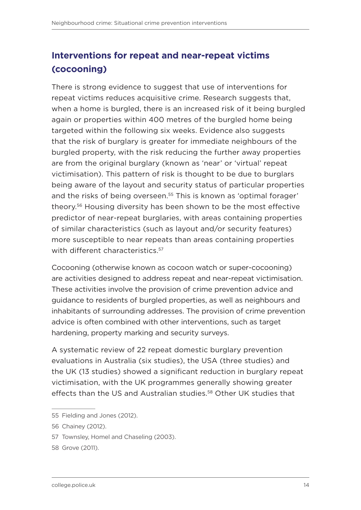#### <span id="page-15-0"></span>**Interventions for repeat and near-repeat victims (cocooning)**

There is strong evidence to suggest that use of interventions for repeat victims reduces acquisitive crime. Research suggests that, when a home is burgled, there is an increased risk of it being burgled again or properties within 400 metres of the burgled home being targeted within the following six weeks. Evidence also suggests that the risk of burglary is greater for immediate neighbours of the burgled property, with the risk reducing the further away properties are from the original burglary (known as 'near' or 'virtual' repeat victimisation). This pattern of risk is thought to be due to burglars being aware of the layout and security status of particular properties and the risks of being overseen.<sup>55</sup> This is known as 'optimal forager' theory.56 Housing diversity has been shown to be the most effective predictor of near-repeat burglaries, with areas containing properties of similar characteristics (such as layout and/or security features) more susceptible to near repeats than areas containing properties with different characteristics.<sup>57</sup>

Cocooning (otherwise known as cocoon watch or super-cocooning) are activities designed to address repeat and near-repeat victimisation. These activities involve the provision of crime prevention advice and guidance to residents of burgled properties, as well as neighbours and inhabitants of surrounding addresses. The provision of crime prevention advice is often combined with other interventions, such as target hardening, property marking and security surveys.

A systematic review of 22 repeat domestic burglary prevention evaluations in Australia (six studies), the USA (three studies) and the UK (13 studies) showed a significant reduction in burglary repeat victimisation, with the UK programmes generally showing greater effects than the US and Australian studies.<sup>58</sup> Other UK studies that

<sup>55</sup> Fielding and Jones (2012).

<sup>56</sup> Chainey (2012).

<sup>57</sup> Townsley, Homel and Chaseling (2003).

<sup>58</sup> Grove (2011).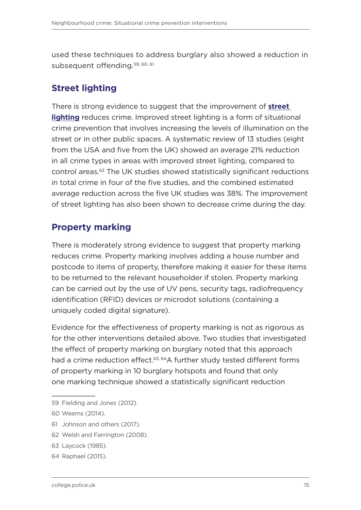<span id="page-16-1"></span>used these techniques to address burglary also showed a reduction in subsequent offending. 59, 60, 61

#### <span id="page-16-0"></span>**Street lighting**

There is strong evidence to suggest that the improvement of **[street](https://whatworks.college.police.uk/toolkit/Pages/Intervention.aspx?InterventionID=3)  [lighting](https://whatworks.college.police.uk/toolkit/Pages/Intervention.aspx?InterventionID=3)** reduces crime. Improved street lighting is a form of situational crime prevention that involves increasing the levels of illumination on the street or in other public spaces. A systematic review of 13 studies (eight from the USA and five from the UK) showed an average 21% reduction in all crime types in areas with improved street lighting, compared to control areas.62 The UK studies showed statistically significant reductions in total crime in four of the five studies, and the combined estimated average reduction across the five UK studies was 38%. The improvement of street lighting has also been shown to decrease crime during the day.

#### **Property marking**

There is moderately strong evidence to suggest that property marking reduces crime. Property marking involves adding a house number and postcode to items of property, therefore making it easier for these items to be returned to the relevant householder if stolen. Property marking can be carried out by the use of UV pens, security tags, radiofrequency identification (RFID) devices or microdot solutions (containing a uniquely coded digital signature).

Evidence for the effectiveness of property marking is not as rigorous as for the other interventions detailed above. Two studies that investigated the effect of property marking on burglary noted that this approach had a crime reduction effect.<sup>63, 64</sup>A further study tested different forms of property marking in 10 burglary hotspots and found that only one marking technique showed a statistically significant reduction

- 61 Johnson and others (2017).
- 62 Welsh and Farrington (2008).
- 63 Laycock (1985).
- 64 Raphael (2015).

<sup>59</sup> Fielding and Jones (2012).

<sup>60</sup> Weems (2014).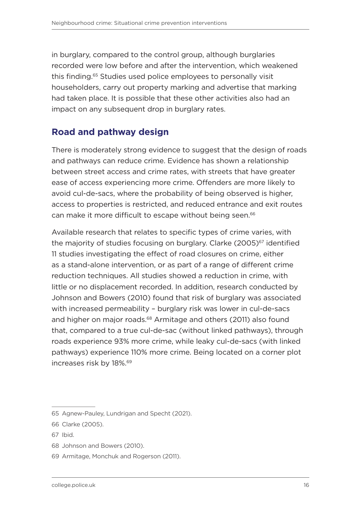<span id="page-17-0"></span>in burglary, compared to the control group, although burglaries recorded were low before and after the intervention, which weakened this finding.65 Studies used police employees to personally visit householders, carry out property marking and advertise that marking had taken place. It is possible that these other activities also had an impact on any subsequent drop in burglary rates.

#### <span id="page-17-1"></span>**Road and pathway design**

There is moderately strong evidence to suggest that the design of roads and pathways can reduce crime. Evidence has shown a relationship between street access and crime rates, with streets that have greater ease of access experiencing more crime. Offenders are more likely to avoid cul-de-sacs, where the probability of being observed is higher, access to properties is restricted, and reduced entrance and exit routes can make it more difficult to escape without being seen.<sup>66</sup>

Available research that relates to specific types of crime varies, with the majority of studies focusing on burglary. Clarke (2005)<sup>67</sup> identified 11 studies investigating the effect of road closures on crime, either as a stand-alone intervention, or as part of a range of different crime reduction techniques. All studies showed a reduction in crime, with little or no displacement recorded. In addition, research conducted by Johnson and Bowers (2010) found that risk of burglary was associated with increased permeability – burglary risk was lower in cul-de-sacs and higher on major roads.<sup>68</sup> Armitage and others (2011) also found that, compared to a true cul-de-sac (without linked pathways), through roads experience 93% more crime, while leaky cul-de-sacs (with linked pathways) experience 110% more crime. Being located on a corner plot increases risk by 18%.69

- 68 Johnson and Bowers (2010).
- 69 Armitage, Monchuk and Rogerson (2011).

<sup>65</sup> Agnew-Pauley, Lundrigan and Specht (2021).

<sup>66</sup> Clarke (2005).

<sup>67</sup> Ibid.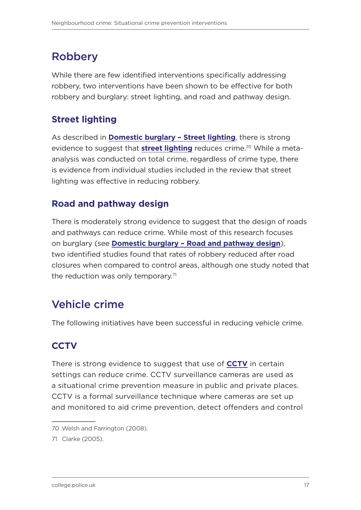### <span id="page-18-0"></span>Robbery

While there are few identified interventions specifically addressing robbery, two interventions have been shown to be effective for both robbery and burglary: street lighting, and road and pathway design.

#### **Street lighting**

As described in **[Domestic burglary – Street lighting](#page-16-0)**, there is strong evidence to suggest that **[street lighting](https://whatworks.college.police.uk/toolkit/Pages/Intervention.aspx?InterventionID=3)** reduces crime.<sup>70</sup> While a metaanalysis was conducted on total crime, regardless of crime type, there is evidence from individual studies included in the review that street lighting was effective in reducing robbery.

#### **Road and pathway design**

There is moderately strong evidence to suggest that the design of roads and pathways can reduce crime. While most of this research focuses on burglary [\(see](#page-17-0) **[Domestic burglary – Road and pathway design](#page-17-1)**), two identified studies found that rates of robbery reduced after road closures when compared to control areas, although one study noted that the reduction was only temporary. $71$ 

### Vehicle crime

The following initiatives have been successful in reducing vehicle crime.

#### **CCTV**

There is strong evidence to suggest that use of **[CCTV](https://whatworks.college.police.uk/toolkit/Pages/Intervention.aspx?InterventionID=1)** in certain settings can reduce crime. CCTV surveillance cameras are used as a situational crime prevention measure in public and private places. CCTV is a formal surveillance technique where cameras are set up and monitored to aid crime prevention, detect offenders and control

<sup>70</sup> Welsh and Farrington (2008).

<sup>71</sup> Clarke (2005).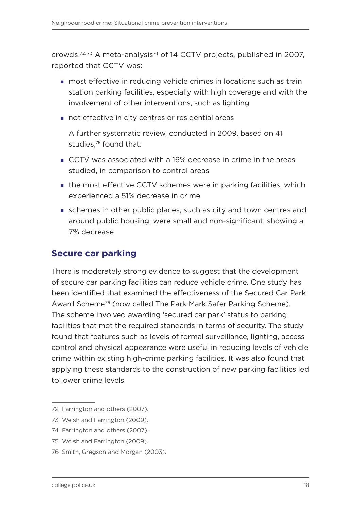crowds.72, 73 A meta-analysis74 of 14 CCTV projects, published in 2007, reported that CCTV was:

- **nost effective in reducing vehicle crimes in locations such as train** station parking facilities, especially with high coverage and with the involvement of other interventions, such as lighting
- not effective in city centres or residential areas

A further systematic review, conducted in 2009, based on 41 studies.<sup>75</sup> found that:

- CCTV was associated with a 16% decrease in crime in the areas studied, in comparison to control areas
- **the most effective CCTV schemes were in parking facilities, which** experienced a 51% decrease in crime
- schemes in other public places, such as city and town centres and around public housing, were small and non-significant, showing a 7% decrease

#### **Secure car parking**

There is moderately strong evidence to suggest that the development of secure car parking facilities can reduce vehicle crime. One study has been identified that examined the effectiveness of the Secured Car Park Award Scheme76 (now called The Park Mark Safer Parking Scheme). The scheme involved awarding 'secured car park' status to parking facilities that met the required standards in terms of security. The study found that features such as levels of formal surveillance, lighting, access control and physical appearance were useful in reducing levels of vehicle crime within existing high-crime parking facilities. It was also found that applying these standards to the construction of new parking facilities led to lower crime levels.

<sup>72</sup> Farrington and others (2007).

<sup>73</sup> Welsh and Farrington (2009).

<sup>74</sup> Farrington and others (2007).

<sup>75</sup> Welsh and Farrington (2009).

<sup>76</sup> Smith, Gregson and Morgan (2003).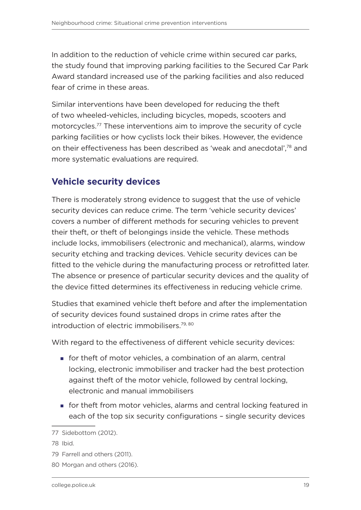In addition to the reduction of vehicle crime within secured car parks, the study found that improving parking facilities to the Secured Car Park Award standard increased use of the parking facilities and also reduced fear of crime in these areas.

Similar interventions have been developed for reducing the theft of two wheeled-vehicles, including bicycles, mopeds, scooters and motorcycles.77 These interventions aim to improve the security of cycle parking facilities or how cyclists lock their bikes. However, the evidence on their effectiveness has been described as 'weak and anecdotal',78 and more systematic evaluations are required.

#### **Vehicle security devices**

There is moderately strong evidence to suggest that the use of vehicle security devices can reduce crime. The term 'vehicle security devices' covers a number of different methods for securing vehicles to prevent their theft, or theft of belongings inside the vehicle. These methods include locks, immobilisers (electronic and mechanical), alarms, window security etching and tracking devices. Vehicle security devices can be fitted to the vehicle during the manufacturing process or retrofitted later. The absence or presence of particular security devices and the quality of the device fitted determines its effectiveness in reducing vehicle crime.

Studies that examined vehicle theft before and after the implementation of security devices found sustained drops in crime rates after the introduction of electric immobilisers.<sup>79, 80</sup>

With regard to the effectiveness of different vehicle security devices:

- **for theft of motor vehicles, a combination of an alarm, central** locking, electronic immobiliser and tracker had the best protection against theft of the motor vehicle, followed by central locking, electronic and manual immobilisers
- **for theft from motor vehicles, alarms and central locking featured in** each of the top six security configurations – single security devices

<sup>77</sup> Sidebottom (2012).

<sup>78</sup> Ibid.

<sup>79</sup> Farrell and others (2011).

<sup>80</sup> Morgan and others (2016).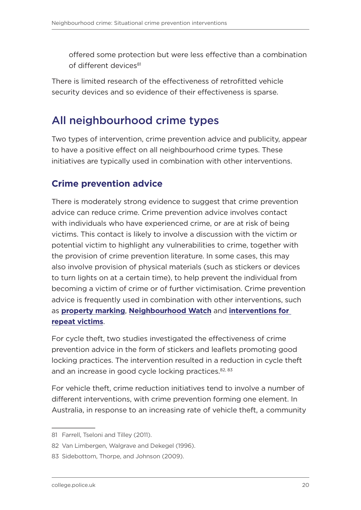<span id="page-21-0"></span>offered some protection but were less effective than a combination of different devices<sup>81</sup>

There is limited research of the effectiveness of retrofitted vehicle security devices and so evidence of their effectiveness is sparse.

### All neighbourhood crime types

Two types of intervention, crime prevention advice and publicity, appear to have a positive effect on all neighbourhood crime types. These initiatives are typically used in combination with other interventions.

#### **Crime prevention advice**

There is moderately strong evidence to suggest that crime prevention advice can reduce crime. Crime prevention advice involves contact with individuals who have experienced crime, or are at risk of being victims. This contact is likely to involve a discussion with the victim or potential victim to highlight any vulnerabilities to crime, together with the provision of crime prevention literature. In some cases, this may also involve provision of physical materials (such as stickers or devices to turn lights on at a certain time), to help prevent the individual from becoming a victim of crime or of further victimisation. Crime prevention advice is frequently used in combination with other interventions, such as **[property marking](#page-16-1)**, **[Neighbourhood Watch](#page-14-0)** and **[interventions for](#page-15-0)  [repeat victims](#page-15-0)**.

For cycle theft, two studies investigated the effectiveness of crime prevention advice in the form of stickers and leaflets promoting good locking practices. The intervention resulted in a reduction in cycle theft and an increase in good cycle locking practices.<sup>82, 83</sup>

For vehicle theft, crime reduction initiatives tend to involve a number of different interventions, with crime prevention forming one element. In Australia, in response to an increasing rate of vehicle theft, a community

<sup>81</sup> Farrell, Tseloni and Tilley (2011).

<sup>82</sup> Van Limbergen, Walgrave and Dekegel (1996).

<sup>83</sup> Sidebottom, Thorpe, and Johnson (2009).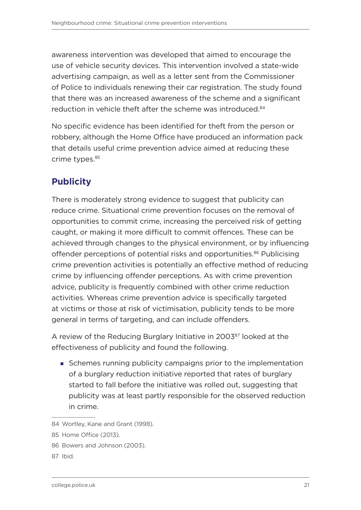awareness intervention was developed that aimed to encourage the use of vehicle security devices. This intervention involved a state-wide advertising campaign, as well as a letter sent from the Commissioner of Police to individuals renewing their car registration. The study found that there was an increased awareness of the scheme and a significant reduction in vehicle theft after the scheme was introduced.<sup>84</sup>

No specific evidence has been identified for theft from the person or robbery, although the Home Office have produced an information pack that details useful crime prevention advice aimed at reducing these crime types.<sup>85</sup>

#### **Publicity**

There is moderately strong evidence to suggest that publicity can reduce crime. Situational crime prevention focuses on the removal of opportunities to commit crime, increasing the perceived risk of getting caught, or making it more difficult to commit offences. These can be achieved through changes to the physical environment, or by influencing offender perceptions of potential risks and opportunities.<sup>86</sup> Publicising crime prevention activities is potentially an effective method of reducing crime by influencing offender perceptions. As with crime prevention advice, publicity is frequently combined with other crime reduction activities. Whereas crime prevention advice is specifically targeted at victims or those at risk of victimisation, publicity tends to be more general in terms of targeting, and can include offenders.

A review of the Reducing Burglary Initiative in 2003<sup>87</sup> looked at the effectiveness of publicity and found the following.

Schemes running publicity campaigns prior to the implementation of a burglary reduction initiative reported that rates of burglary started to fall before the initiative was rolled out, suggesting that publicity was at least partly responsible for the observed reduction in crime.

<sup>84</sup> Wortley, Kane and Grant (1998).

<sup>85</sup> Home Office (2013).

<sup>86</sup> Bowers and Johnson (2003).

<sup>87</sup> Ibid.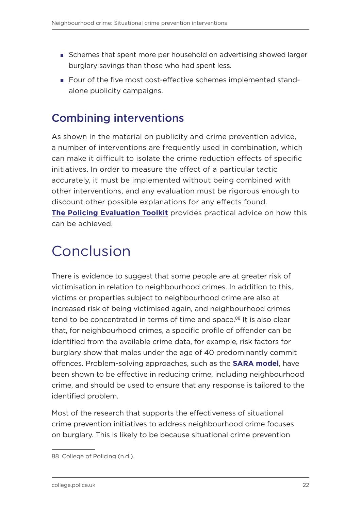- <span id="page-23-0"></span>Schemes that spent more per household on advertising showed larger burglary savings than those who had spent less.
- Four of the five most cost-effective schemes implemented standalone publicity campaigns.

### Combining interventions

As shown in the material on publicity and crime prevention advice, a number of interventions are frequently used in combination, which can make it difficult to isolate the crime reduction effects of specific initiatives. In order to measure the effect of a particular tactic accurately, it must be implemented without being combined with other interventions, and any evaluation must be rigorous enough to discount other possible explanations for any effects found. **[The Policing Evaluation Toolkit](https://whatworks.college.police.uk/Support/Documents/The_Policing_Evaluation_Toolkit.pdf)** provides practical advice on how this can be achieved.

# Conclusion

There is evidence to suggest that some people are at greater risk of victimisation in relation to neighbourhood crimes. In addition to this, victims or properties subject to neighbourhood crime are also at increased risk of being victimised again, and neighbourhood crimes tend to be concentrated in terms of time and space.<sup>88</sup> It is also clear that, for neighbourhood crimes, a specific profile of offender can be identified from the available crime data, for example, risk factors for burglary show that males under the age of 40 predominantly commit offences. Problem-solving approaches, such as the **[SARA model](https://whatworks.college.police.uk/toolkit/Pages/Intervention.aspx?InterventionID=47)**, have been shown to be effective in reducing crime, including neighbourhood crime, and should be used to ensure that any response is tailored to the identified problem.

Most of the research that supports the effectiveness of situational crime prevention initiatives to address neighbourhood crime focuses on burglary. This is likely to be because situational crime prevention

<sup>88</sup> College of Policing (n.d.).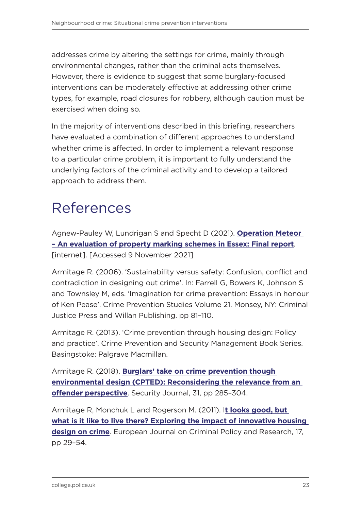<span id="page-24-0"></span>addresses crime by altering the settings for crime, mainly through environmental changes, rather than the criminal acts themselves. However, there is evidence to suggest that some burglary-focused interventions can be moderately effective at addressing other crime types, for example, road closures for robbery, although caution must be exercised when doing so.

In the majority of interventions described in this briefing, researchers have evaluated a combination of different approaches to understand whether crime is affected. In order to implement a relevant response to a particular crime problem, it is important to fully understand the underlying factors of the criminal activity and to develop a tailored approach to address them.

# References

Agnew-Pauley W, Lundrigan S and Specht D (2021). **[Operation Meteor](https://library.college.police.uk/docs/Op-Meteor-Evaluation-ARU-Final-Report.pdf)  [– An evaluation of property marking schemes in Essex: Final report](https://library.college.police.uk/docs/Op-Meteor-Evaluation-ARU-Final-Report.pdf)**. [internet]. [Accessed 9 November 2021]

Armitage R. (2006). 'Sustainability versus safety: Confusion, conflict and contradiction in designing out crime'. In: Farrell G, Bowers K, Johnson S and Townsley M, eds. 'Imagination for crime prevention: Essays in honour of Ken Pease'. Crime Prevention Studies Volume 21. Monsey, NY: Criminal Justice Press and Willan Publishing. pp 81–110.

Armitage R. (2013). 'Crime prevention through housing design: Policy and practice'. Crime Prevention and Security Management Book Series. Basingstoke: Palgrave Macmillan.

Armitage R. (2018). **[Burglars' take on crime prevention though](https://link.springer.com/article/10.1057/s41284-017-0101-6)  [environmental design \(CPTED\): Reconsidering the relevance from an](https://link.springer.com/article/10.1057/s41284-017-0101-6)  [offender perspective](https://link.springer.com/article/10.1057/s41284-017-0101-6)**. Security Journal, 31, pp 285–304.

Armitage R, Monchuk L and Rogerson M. (2011). I**[t looks good, but](https://link.springer.com/article/10.1007/s10610-010-9133-8)  [what is it like to live there? Exploring the impact of innovative housing](https://link.springer.com/article/10.1007/s10610-010-9133-8)  [design on crime](https://link.springer.com/article/10.1007/s10610-010-9133-8)**. European Journal on Criminal Policy and Research, 17, pp 29–54.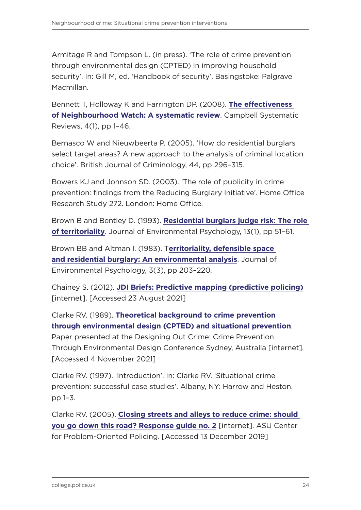Armitage R and Tompson L. (in press). 'The role of crime prevention through environmental design (CPTED) in improving household security'. In: Gill M, ed. 'Handbook of security'. Basingstoke: Palgrave Macmillan.

Bennett T, Holloway K and Farrington DP. (2008). **[The effectiveness](https://onlinelibrary.wiley.com/doi/full/10.4073/csr.2008.18)  [of Neighbourhood Watch: A systematic review](https://onlinelibrary.wiley.com/doi/full/10.4073/csr.2008.18)**. Campbell Systematic Reviews, 4(1), pp 1–46.

Bernasco W and Nieuwbeerta P. (2005). 'How do residential burglars select target areas? A new approach to the analysis of criminal location choice'. British Journal of Criminology, 44, pp 296–315.

Bowers KJ and Johnson SD. (2003). 'The role of publicity in crime prevention: findings from the Reducing Burglary Initiative'. Home Office Research Study 272. London: Home Office.

Brown B and Bentley D. (1993). **[Residential burglars judge risk: The role](https://www.sciencedirect.com/science/article/abs/pii/S0272494405802142)  [of territoriality](https://www.sciencedirect.com/science/article/abs/pii/S0272494405802142)**. Journal of Environmental Psychology, 13(1), pp 51–61.

Brown BB and Altman I. (1983). T**[erritoriality, defensible space](https://www.sciencedirect.com/science/article/abs/pii/S0272494483800012)  [and residential burglary: An environmental analysis](https://www.sciencedirect.com/science/article/abs/pii/S0272494483800012)**. Journal of Environmental Psychology, 3(3), pp 203–220.

Chainey S. (2012). **[JDI Briefs: Predictive mapping \(predictive policing\)](https://discovery.ucl.ac.uk/id/eprint/1344080/3/JDIBriefs_PredictiveMappingSChaineyApril2012.pdf)** [internet]. [Accessed 23 August 2021]

Clarke RV. (1989). **[Theoretical background to crime prevention](https://d1wqtxts1xzle7.cloudfront.net/30725494/cpted-with-cover-page-v2.pdf?Expires=1636020476&Signature=HAIbm3-Zc4TXMrZzQLTSM6nsdTZ-usWe3-Fhy91~wa~u9y67zpQ7CmxC4kiccvvdfx3ySA5ssvgDuXamR5xMrZ4-4Bn3-jL2naS-dXR9acXj7B-gX6TJMpsEMja~swRaqXS238PFje6S6-P9znptPBUvG6KGxaGmfQe-zRMuh5udya~5ee1nzJHCVKokgtLQAgkEw7pB5~jgFtAwJaG~GodnSLU3Ue-JqNU-ReeTRpXv8PEiaard412qYQj~1VEBPvpa-qnlkdlsrWs5z5YyXjVlhyJyEOFULb85HoussXKprxywU8DPFm~dRbGXBgydjLDD-TDRY2theh6NHatXWw__&Key-Pair-Id=APKAJLOHF5GGSLRBV4ZA#page=21)  [through environmental design \(CPTED\) and situational prevention](https://d1wqtxts1xzle7.cloudfront.net/30725494/cpted-with-cover-page-v2.pdf?Expires=1636020476&Signature=HAIbm3-Zc4TXMrZzQLTSM6nsdTZ-usWe3-Fhy91~wa~u9y67zpQ7CmxC4kiccvvdfx3ySA5ssvgDuXamR5xMrZ4-4Bn3-jL2naS-dXR9acXj7B-gX6TJMpsEMja~swRaqXS238PFje6S6-P9znptPBUvG6KGxaGmfQe-zRMuh5udya~5ee1nzJHCVKokgtLQAgkEw7pB5~jgFtAwJaG~GodnSLU3Ue-JqNU-ReeTRpXv8PEiaard412qYQj~1VEBPvpa-qnlkdlsrWs5z5YyXjVlhyJyEOFULb85HoussXKprxywU8DPFm~dRbGXBgydjLDD-TDRY2theh6NHatXWw__&Key-Pair-Id=APKAJLOHF5GGSLRBV4ZA#page=21)**.

Paper presented at the Designing Out Crime: Crime Prevention Through Environmental Design Conference Sydney, Australia [internet]. [Accessed 4 November 2021]

Clarke RV. (1997). 'Introduction'. In: Clarke RV. 'Situational crime prevention: successful case studies'. Albany, NY: Harrow and Heston. pp 1–3.

Clarke RV. (2005). **[Closing streets and alleys to reduce crime: should](https://popcenter.asu.edu/content/closing-streets-and-alleys-reduce-crime-0)  [you go down this road? Response guide no. 2](https://popcenter.asu.edu/content/closing-streets-and-alleys-reduce-crime-0)** [internet]. ASU Center for Problem-Oriented Policing. [Accessed 13 December 2019]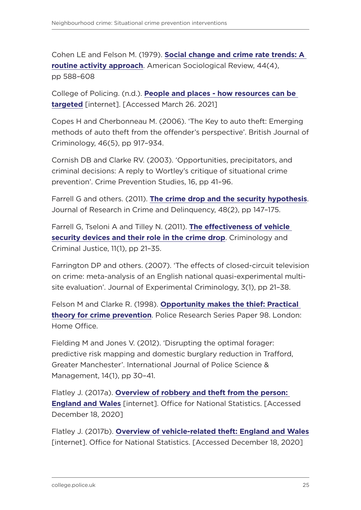Cohen LE and Felson M. (1979). **[Social change and crime rate trends: A](https://www.jstor.org/stable/2094589)  [routine activity approach](https://www.jstor.org/stable/2094589)**. American Sociological Review, 44(4), pp 588–608

College of Policing. (n.d.). **[People and places - how resources can be](https://whatworks.college.police.uk/Research/overview/Documents/People_and_places_how_resources_can_be_targeted.doc)  [targeted](https://whatworks.college.police.uk/Research/overview/Documents/People_and_places_how_resources_can_be_targeted.doc)** [internet]. [Accessed March 26. 2021]

Copes H and Cherbonneau M. (2006). 'The Key to auto theft: Emerging methods of auto theft from the offender's perspective'. British Journal of Criminology, 46(5), pp 917–934.

Cornish DB and Clarke RV. (2003). 'Opportunities, precipitators, and criminal decisions: A reply to Wortley's critique of situational crime prevention'. Crime Prevention Studies, 16, pp 41–96.

Farrell G and others. (2011). **[The crime drop and the security hypothesis](https://journals.sagepub.com/doi/10.1177/1748895810392190)**. Journal of Research in Crime and Delinquency, 48(2), pp 147–175.

Farrell G, Tseloni A and Tilley N. (2011). **[The effectiveness of vehicle](https://journals.sagepub.com/doi/10.1177/1748895810392190)  [security devices and their role in the crime drop](https://journals.sagepub.com/doi/10.1177/1748895810392190)**. Criminology and Criminal Justice, 11(1), pp 21–35.

Farrington DP and others. (2007). 'The effects of closed-circuit television on crime: meta-analysis of an English national quasi-experimental multisite evaluation'. Journal of Experimental Criminology, 3(1), pp 21–38.

Felson M and Clarke R. (1998). **[Opportunity makes the thief: Practical](https://webarchive.nationalarchives.gov.uk/ukgwa/20110218140739/http:/rds.homeoffice.gov.uk/rds/prgpdfs/fprs98.pdf)  [theory for crime prevention](https://webarchive.nationalarchives.gov.uk/ukgwa/20110218140739/http:/rds.homeoffice.gov.uk/rds/prgpdfs/fprs98.pdf)**. Police Research Series Paper 98. London: Home Office.

Fielding M and Jones V. (2012). 'Disrupting the optimal forager: predictive risk mapping and domestic burglary reduction in Trafford, Greater Manchester'. International Journal of Police Science & Management, 14(1), pp 30–41.

Flatley J. (2017a). **[Overview of robbery and theft from the person:](https://www.ons.gov.uk/peoplepopulationandcommunity/crimeandjustice/articles/overviewofrobberyandtheftfromtheperson/2017-07-20)  [England and Wales](https://www.ons.gov.uk/peoplepopulationandcommunity/crimeandjustice/articles/overviewofrobberyandtheftfromtheperson/2017-07-20)** [internet]. Office for National Statistics. [Accessed December 18, 2020]

Flatley J. (2017b). **[Overview of vehicle-related theft: England and Wales](https://www.ons.gov.uk/peoplepopulationandcommunity/crimeandjustice/articles/overviewofvehiclerelatedtheft/2017-07-20)** [internet]. Office for National Statistics. [Accessed December 18, 2020]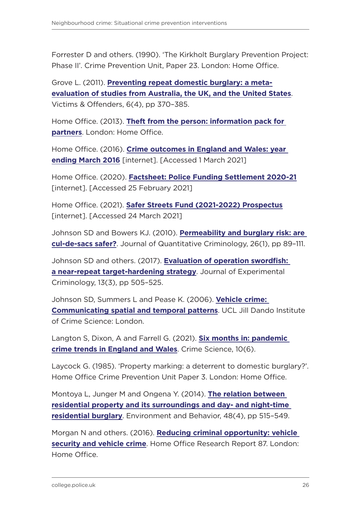Forrester D and others. (1990). 'The Kirkholt Burglary Prevention Project: Phase II'. Crime Prevention Unit, Paper 23. London: Home Office.

Grove L. (2011). **[Preventing repeat domestic burglary: a meta](https://www.tandfonline.com/doi/abs/10.1080/15564886.2011.607400)[evaluation of studies from Australia, the UK, and the United States](https://www.tandfonline.com/doi/abs/10.1080/15564886.2011.607400)**. Victims & Offenders, 6(4), pp 370–385.

Home Office. (2013). **[Theft from the person: information pack for](https://assets.publishing.service.gov.uk/government/uploads/system/uploads/attachment_data/file/282747/TheftFromPerson.pdf)  [partners](https://assets.publishing.service.gov.uk/government/uploads/system/uploads/attachment_data/file/282747/TheftFromPerson.pdf)**. London: Home Office.

Home Office. (2016). **[Crime outcomes in England and Wales: year](https://assets.publishing.service.gov.uk/government/uploads/system/uploads/attachment_data/file/539447/crime-outcomes-hosb0616.pdf)  [ending March 2016](https://assets.publishing.service.gov.uk/government/uploads/system/uploads/attachment_data/file/539447/crime-outcomes-hosb0616.pdf)** [internet]. [Accessed 1 March 2021]

Home Office. (2020). **[Factsheet: Police Funding Settlement 2020-21](https://homeofficemedia.blog.gov.uk/2020/01/22/factsheet-police-funding-settlement-2020-21/)** [internet]. [Accessed 25 February 2021]

Home Office. (2021). **[Safer Streets Fund \(2021-2022\) Prospectus](https://assets.publishing.service.gov.uk/government/uploads/system/uploads/attachment_data/file/957227/SSF_R2_Prospectus_FINAL.pdf)** [internet]. [Accessed 24 March 2021]

Johnson SD and Bowers KJ. (2010). **[Permeability and burglary risk: are](https://link.springer.com/article/10.1007/s10940-009-9084-8)  [cul-de-sacs safer?](https://link.springer.com/article/10.1007/s10940-009-9084-8)**. Journal of Quantitative Criminology, 26(1), pp 89–111.

Johnson SD and others. (2017). **[Evaluation of operation swordfish:](https://link.springer.com/article/10.1007/s11292-017-9301-7)  [a near-repeat target-hardening strategy](https://link.springer.com/article/10.1007/s11292-017-9301-7)**. Journal of Experimental Criminology, 13(3), pp 505–525.

Johnson SD, Summers L and Pease K. (2006). **[Vehicle crime:](https://discovery.ucl.ac.uk/id/eprint/1430754/)  [Communicating spatial and temporal patterns](https://discovery.ucl.ac.uk/id/eprint/1430754/)**. UCL Jill Dando Institute of Crime Science: London.

Langton S, Dixon, A and Farrell G. (2021). **[Six months in: pandemic](https://link.springer.com/article/10.1186/s40163-021-00142-z)  [crime trends in England and Wales](https://link.springer.com/article/10.1186/s40163-021-00142-z)**. Crime Science, 10(6).

Laycock G. (1985). 'Property marking: a deterrent to domestic burglary?'. Home Office Crime Prevention Unit Paper 3. London: Home Office.

Montoya L, Junger M and Ongena Y. (2014). **[The relation between](https://journals.sagepub.com/doi/abs/10.1177/0013916514551047)  [residential property and its surroundings and day- and night-time](https://journals.sagepub.com/doi/abs/10.1177/0013916514551047)  [residential burglary](https://journals.sagepub.com/doi/abs/10.1177/0013916514551047)**. Environment and Behavior, 48(4), pp 515–549.

Morgan N and others. (2016). **[Reducing criminal opportunity: vehicle](https://assets.publishing.service.gov.uk/government/uploads/system/uploads/attachment_data/file/489097/horr87.pdf)  [security and vehicle crime](https://assets.publishing.service.gov.uk/government/uploads/system/uploads/attachment_data/file/489097/horr87.pdf)**. Home Office Research Report 87. London: Home Office.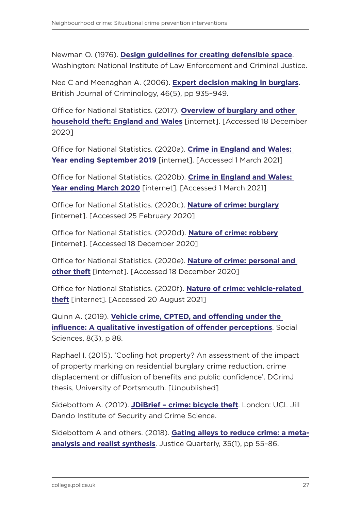Newman O. (1976). **[Design guidelines for creating defensible space](https://www.ojp.gov/pdffiles1/Digitization/148313NCJRS.pdf)**. Washington: National Institute of Law Enforcement and Criminal Justice.

Nee C and Meenaghan A. (2006). **[Expert decision making in burglars](https://academic.oup.com/bjc/article-abstract/46/5/935/438108)**. British Journal of Criminology, 46(5), pp 935–949.

Office for National Statistics. (2017). **[Overview of burglary and other](https://www.ons.gov.uk/peoplepopulationandcommunity/crimeandjustice/articles/overviewofburglaryandotherhouseholdtheft/englandandwales)  [household theft: England and Wales](https://www.ons.gov.uk/peoplepopulationandcommunity/crimeandjustice/articles/overviewofburglaryandotherhouseholdtheft/englandandwales)** [internet]. [Accessed 18 December 2020]

Office for National Statistics. (2020a). **[Crime in England and Wales:](https://www.ons.gov.uk/peoplepopulationandcommunity/crimeandjustice/bulletins/crimeinenglandandwales/yearendingseptember2019#long-term-trends-in-theft-offences)  [Year ending September 2019](https://www.ons.gov.uk/peoplepopulationandcommunity/crimeandjustice/bulletins/crimeinenglandandwales/yearendingseptember2019#long-term-trends-in-theft-offences)** [internet]. [Accessed 1 March 2021]

Office for National Statistics. (2020b). **[Crime in England and Wales:](https://www.ons.gov.uk/peoplepopulationandcommunity/crimeandjustice/bulletins/crimeinenglandandwales/yearendingmarch2020#crime-data)  [Year ending March 2020](https://www.ons.gov.uk/peoplepopulationandcommunity/crimeandjustice/bulletins/crimeinenglandandwales/yearendingmarch2020#crime-data)** [internet]. [Accessed 1 March 2021]

Office for National Statistics. (2020c). **[Nature of crime: burglary](https://www.ons.gov.uk/file?uri=/peoplepopulationandcommunity/crimeandjustice/datasets/natureofcrimeburglary/yearendingmarch2020/nocburglarytablescorrection.xlsx)** [internet]. [Accessed 25 February 2020]

Office for National Statistics. (2020d). **[Nature of crime: robbery](https://www.ons.gov.uk/peoplepopulationandcommunity/crimeandjustice/datasets/natureofcrimerobbery)** [internet]. [Accessed 18 December 2020]

Office for National Statistics. (2020e). **[Nature of crime: personal and](https://www.ons.gov.uk/peoplepopulationandcommunity/crimeandjustice/datasets/natureofcrimepersonalandothertheft)  [other theft](https://www.ons.gov.uk/peoplepopulationandcommunity/crimeandjustice/datasets/natureofcrimepersonalandothertheft)** [internet]. [Accessed 18 December 2020]

Office for National Statistics. (2020f). **[Nature of crime: vehicle-related](https://www.ons.gov.uk/peoplepopulationandcommunity/crimeandjustice/datasets/natureofcrimevehiclerelatedtheft)  [theft](https://www.ons.gov.uk/peoplepopulationandcommunity/crimeandjustice/datasets/natureofcrimevehiclerelatedtheft)** [internet]. [Accessed 20 August 2021]

Quinn A. (2019). **[Vehicle crime, CPTED, and offending under the](https://www.mdpi.com/2076-0760/8/3/88)  [influence: A qualitative investigation of offender perceptions](https://www.mdpi.com/2076-0760/8/3/88)**. Social Sciences, 8(3), p 88.

Raphael I. (2015). 'Cooling hot property? An assessment of the impact of property marking on residential burglary crime reduction, crime displacement or diffusion of benefits and public confidence'. DCrimJ thesis, University of Portsmouth. [Unpublished]

Sidebottom A. (2012). **[JDiBrief – crime: bicycle theft](https://www.ucl.ac.uk/jill-dando-institute/sites/jill-dando-institute/files/bicycle_theft_1-5_all.pdf)**. London: UCL Jill Dando Institute of Security and Crime Science.

Sidebottom A and others. (2018). **[Gating alleys to reduce crime: a meta](https://www.tandfonline.com/doi/full/10.1080/07418825.2017.1293135)[analysis and realist synthesis](https://www.tandfonline.com/doi/full/10.1080/07418825.2017.1293135)**. Justice Quarterly, 35(1), pp 55–86.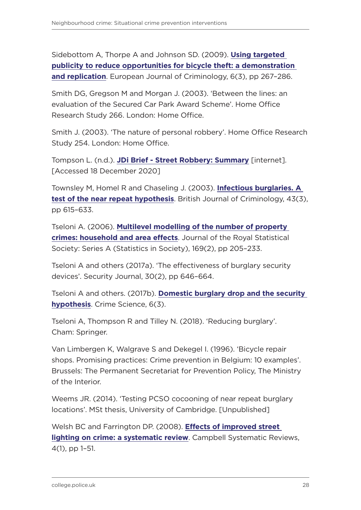Sidebottom A, Thorpe A and Johnson SD. (2009). **[Using targeted](https://journals.sagepub.com/doi/abs/10.1177/1477370809102168)  [publicity to reduce opportunities for bicycle theft: a demonstration](https://journals.sagepub.com/doi/abs/10.1177/1477370809102168)  [and replication](https://journals.sagepub.com/doi/abs/10.1177/1477370809102168)**. European Journal of Criminology, 6(3), pp 267–286.

Smith DG, Gregson M and Morgan J. (2003). 'Between the lines: an evaluation of the Secured Car Park Award Scheme'. Home Office Research Study 266. London: Home Office.

Smith J. (2003). 'The nature of personal robbery'. Home Office Research Study 254. London: Home Office.

Tompson L. (n.d.). **[JDi Brief - Street Robbery: Summary](https://www.ucl.ac.uk/jill-dando-institute/sites/jill-dando-institute/files/street_robbery_1-5_all.pdf)** [internet]. [Accessed 18 December 2020]

Townsley M, Homel R and Chaseling J. (2003). **[Infectious burglaries. A](https://academic.oup.com/bjc/article-abstract/43/3/615/410371)  [test of the near repeat hypothesis](https://academic.oup.com/bjc/article-abstract/43/3/615/410371)**. British Journal of Criminology, 43(3), pp 615–633.

Tseloni A. (2006). **[Multilevel modelling of the number of property](http://irep.ntu.ac.uk/id/eprint/6384/)  [crimes: household and area effects](http://irep.ntu.ac.uk/id/eprint/6384/)**. Journal of the Royal Statistical Society: Series A (Statistics in Society), 169(2), pp 205–233.

Tseloni A and others (2017a). 'The effectiveness of burglary security devices'. Security Journal, 30(2), pp 646–664.

Tseloni A and others. (2017b). **[Domestic burglary drop and the security](https://crimesciencejournal.biomedcentral.com/articles/10.1186/s40163-017-0064-2)  [hypothesis](https://crimesciencejournal.biomedcentral.com/articles/10.1186/s40163-017-0064-2)**. Crime Science, 6(3).

Tseloni A, Thompson R and Tilley N. (2018). 'Reducing burglary'. Cham: Springer.

Van Limbergen K, Walgrave S and Dekegel I. (1996). 'Bicycle repair shops. Promising practices: Crime prevention in Belgium: 10 examples'. Brussels: The Permanent Secretariat for Prevention Policy, The Ministry of the Interior.

Weems JR. (2014). 'Testing PCSO cocooning of near repeat burglary locations'. MSt thesis, University of Cambridge. [Unpublished]

Welsh BC and Farrington DP. (2008). **[Effects of improved street](https://onlinelibrary.wiley.com/doi/full/10.4073/csr.2008.13)  [lighting on crime: a systematic review](https://onlinelibrary.wiley.com/doi/full/10.4073/csr.2008.13)**. Campbell Systematic Reviews, 4(1), pp 1–51.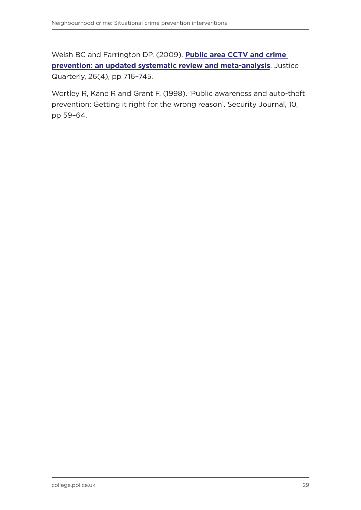Welsh BC and Farrington DP. (2009). **[Public area CCTV and crime](https://www.tandfonline.com/doi/abs/10.1080/07418820802506206)  [prevention: an updated systematic review and meta-analysis](https://www.tandfonline.com/doi/abs/10.1080/07418820802506206)**. Justice Quarterly, 26(4), pp 716–745.

Wortley R, Kane R and Grant F. (1998). 'Public awareness and auto-theft prevention: Getting it right for the wrong reason'. Security Journal, 10, pp 59–64.